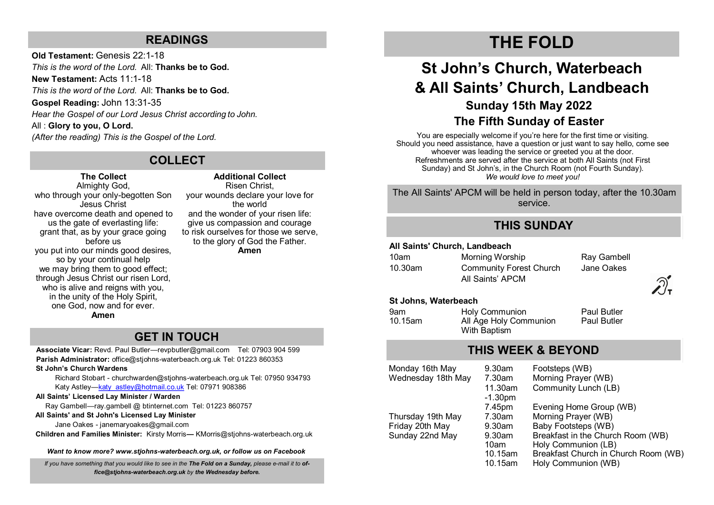### **READINGS**

**Old Testament:** Genesis 22:1-18 *This is the word of the Lord.* All: **Thanks be to God. New Testament:** Acts 11:1-18 *This is the word of the Lord.* All: **Thanks be to God. Gospel Reading:** John 13:31-35 *Hear the Gospel of our Lord Jesus Christ according to John.* All : **Glory to you, O Lord.** *(After the reading) This is the Gospel of the Lord.* 

## **COLLECT**

### **The Collect**

Almighty God, who through your only-begotten Son Jesus Christ have overcome death and opened to us the gate of everlasting life: grant that, as by your grace going before us you put into our minds good desires, so by your continual help we may bring them to good effect; through Jesus Christ our risen Lord, who is alive and reigns with you. in the unity of the Holy Spirit, one God, now and for ever. **Amen**

**Additional Collect** Risen Christ, your wounds declare your love for the world and the wonder of your risen life: give us compassion and courage to risk ourselves for those we serve, to the glory of God the Father. **Amen**

## **GET IN TOUCH**

**Associate Vicar:** Revd. Paul Butler—[revpbutler@gmail.com](mailto:revpbutler@gmail.com) Tel: 07903 904 599 **Parish Administrator:** office@stjohns-waterbeach.org.uk Tel: 01223 860353

#### **St John's Church Wardens**

Richard Stobart - churchwarden@stjohns-waterbeach.org.uk Tel: 07950 934793 Katy Astley—[katy\\_astley@hotmail.co.uk](mailto:katy_astley@hotmail.co.uk) Tel: 07971 908386

#### **All Saints' Licensed Lay Minister / Warden**

Ray Gambell—ray.gambell @ btinternet.com Tel: 01223 860757

#### **All Saints' and St John's Licensed Lay Minister**

Jane Oakes - janemaryoakes@gmail.com

**Children and Families Minister:** Kirsty Morris**—** KMorris@stjohns-waterbeach.org.uk

*Want to know more? www.stjohns-waterbeach.org.uk, or follow us on Facebook*

*If you have something that you would like to see in the The Fold on a Sunday, please e-mail it to office@stjohns-waterbeach.org.uk by the Wednesday before.* 

## **THE FOLD**

## **St John's Church, Waterbeach & All Saints' Church, Landbeach Sunday 15th May 2022 The Fifth Sunday of Easter**

You are especially welcome if you're here for the first time or visiting. Should you need assistance, have a question or just want to say hello, come see whoever was leading the service or greeted you at the door. Refreshments are served after the service at both All Saints (not First Sunday) and St John's, in the Church Room (not Fourth Sunday). *We would love to meet you!* 

The All Saints' APCM will be held in person today, after the 10.30am service.

### **THIS SUNDAY**

### **All Saints' Church, Landbeach**

| 10am    | Morning Worship                                    | Ray Gambell |
|---------|----------------------------------------------------|-------------|
| 10.30am | <b>Community Forest Church</b><br>All Saints' APCM | Jane Oakes  |
|         |                                                    |             |

#### **St Johns, Waterbeach**

| 9am     | Holy Communion         | <b>Paul Butler</b> |
|---------|------------------------|--------------------|
| 10.15am | All Age Holy Communion | <b>Paul Butler</b> |
|         | With Baptism           |                    |

## **THIS WEEK & BEYOND**

| Monday 16th May    | $9.30$ am | Footsteps (WB)                       |
|--------------------|-----------|--------------------------------------|
| Wednesday 18th May | 7.30am    | Morning Prayer (WB)                  |
|                    | 11.30am   | Community Lunch (LB)                 |
|                    | $-1.30pm$ |                                      |
|                    | 7.45pm    | Evening Home Group (WB)              |
| Thursday 19th May  | 7.30am    | Morning Prayer (WB)                  |
| Friday 20th May    | $9.30$ am | Baby Footsteps (WB)                  |
| Sunday 22nd May    | $9.30$ am | Breakfast in the Church Room (WB)    |
|                    | 10am      | Holy Communion (LB)                  |
|                    | 10.15am   | Breakfast Church in Church Room (WB) |
|                    | 10.15am   | Holy Communion (WB)                  |